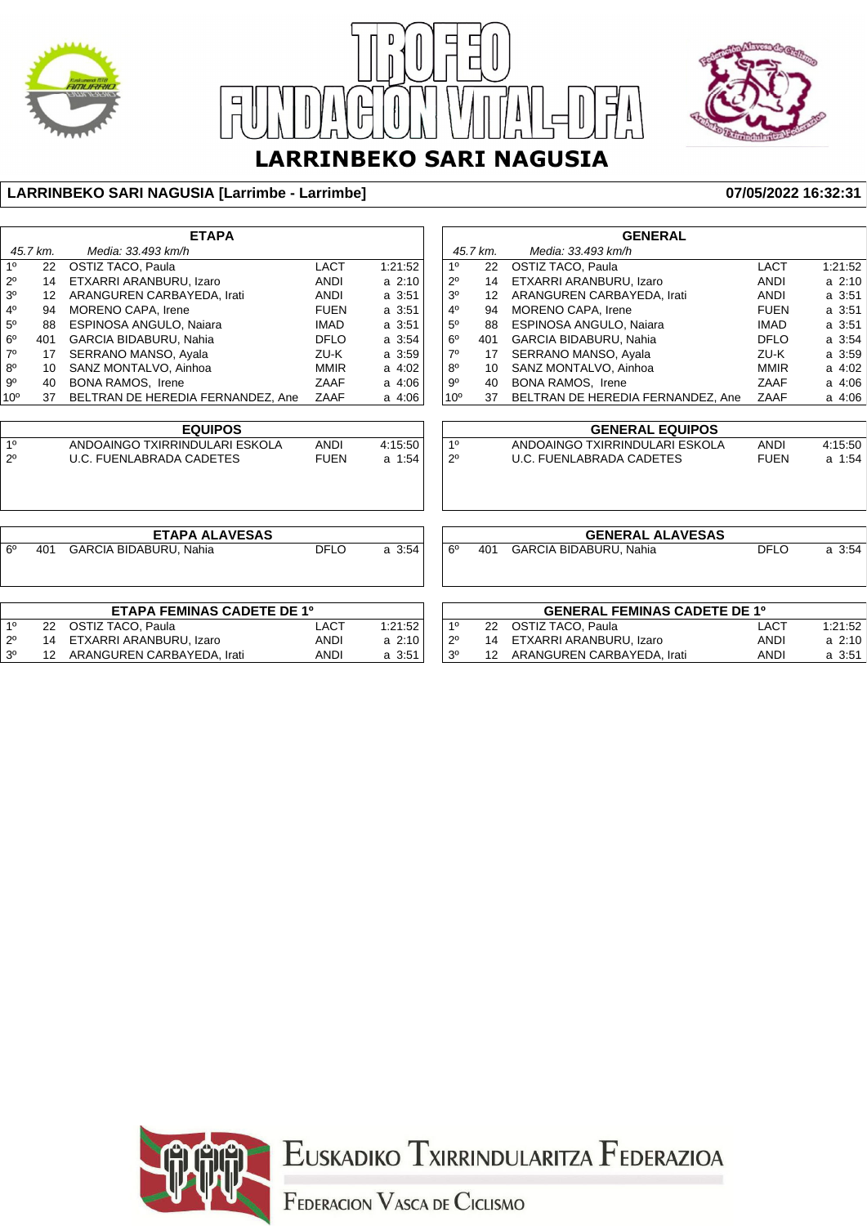





#### **LARRINBEKO SARI NAGUSIA [Larrimbe - Larrimbe] 07/05/2022 16:32:31**

| 45.7 km.<br>Media: 33.493 km/h<br>45.7 km.<br>Media: 33.493 km/h<br>10<br>1 <sup>0</sup><br><b>LACT</b><br>1:21:52<br><b>LACT</b><br><b>OSTIZ TACO, Paula</b><br><b>OSTIZ TACO, Paula</b><br>22<br>22<br>14<br>ETXARRI ARANBURU, Izaro<br><b>ANDI</b><br>$2^{\circ}$<br>ETXARRI ARANBURU, Izaro<br>$2^{\circ}$<br>$a$ 2:10<br>14<br><b>ANDI</b><br>3 <sup>0</sup><br>a 3:51<br>3 <sup>0</sup><br>ARANGUREN CARBAYEDA, Irati<br><b>ANDI</b><br>ARANGUREN CARBAYEDA, Irati<br><b>ANDI</b><br>$12 \overline{ }$<br>$12 \overline{ }$<br>$4^{\circ}$<br><b>MORENO CAPA, Irene</b><br>a 3:51<br>4 <sup>0</sup><br><b>FUEN</b><br>MORENO CAPA, Irene<br><b>FUEN</b><br>94<br>94<br>$5^{\circ}$<br><b>ESPINOSA ANGULO, Najara</b><br>a 3:51<br><b>ESPINOSA ANGULO, Najara</b><br><b>IMAD</b><br>88<br><b>IMAD</b><br>5 <sup>0</sup><br>88<br>6 <sup>o</sup><br>GARCIA BIDABURU, Nahia<br><b>DFLO</b><br>a 3:54<br>$6^{\circ}$<br>GARCIA BIDABURU, Nahia<br><b>DFLO</b><br>401<br>401<br>$7^\circ$<br>SERRANO MANSO, Ayala<br>a 3:59<br>SERRANO MANSO, Ayala<br>17<br>ZU-K<br>$7^\circ$<br>ZU-K<br>17<br>$8^{\circ}$<br>SANZ MONTALVO, Ainhoa<br>a 4:02<br>$8^{\circ}$<br>SANZ MONTALVO, Ainhoa<br><b>MMIR</b><br><b>MMIR</b><br>10<br>10<br>$9^{\circ}$<br>9 <sup>o</sup><br><b>BONA RAMOS, Irene</b><br>ZAAF<br>a 4:06<br><b>BONA RAMOS, Irene</b><br>ZAAF<br>40<br>40<br>BELTRAN DE HEREDIA FERNANDEZ, Ane<br>10 <sup>o</sup><br>BELTRAN DE HEREDIA FERNANDEZ, Ane<br>10 <sup>o</sup><br>ZAAF<br>a 4:06<br>ZAAF<br>37<br>37<br><b>EQUIPOS</b><br><b>GENERAL EQUIPOS</b><br>10<br>1 <sup>0</sup><br>ANDOAINGO TXIRRINDULARI ESKOLA<br><b>ANDI</b><br>4:15:50<br>ANDOAINGO TXIRRINDULARI ESKOLA<br><b>ANDI</b><br>$2^{\circ}$<br><b>FUEN</b><br>$2^{\circ}$<br><b>U.C. FUENLABRADA CADETES</b><br><b>FUEN</b><br>a 1:54<br><b>U.C. FUENLABRADA CADETES</b><br><b>GENERAL ALAVESAS</b><br><b>ETAPA ALAVESAS</b><br>$6^{\circ}$<br>$6^{\circ}$<br><b>DFLO</b><br><b>GARCIA BIDABURU, Nahia</b><br><b>DFLO</b><br>a 3:54<br>401<br><b>GARCIA BIDABURU, Nahia</b><br>401<br><b>ETAPA FEMINAS CADETE DE 1º</b><br><b>GENERAL FEMINAS CADETE DE 1º</b><br>1 <sup>0</sup><br>OSTIZ TACO, Paula<br>1:21:52<br>1 <sup>0</sup><br><b>OSTIZ TACO, Paula</b><br>22<br><b>LACT</b><br>22<br><b>LACT</b> | <b>ETAPA</b> |    |                         |             |          | <b>GENERAL</b> |    |                         |             |             |
|-------------------------------------------------------------------------------------------------------------------------------------------------------------------------------------------------------------------------------------------------------------------------------------------------------------------------------------------------------------------------------------------------------------------------------------------------------------------------------------------------------------------------------------------------------------------------------------------------------------------------------------------------------------------------------------------------------------------------------------------------------------------------------------------------------------------------------------------------------------------------------------------------------------------------------------------------------------------------------------------------------------------------------------------------------------------------------------------------------------------------------------------------------------------------------------------------------------------------------------------------------------------------------------------------------------------------------------------------------------------------------------------------------------------------------------------------------------------------------------------------------------------------------------------------------------------------------------------------------------------------------------------------------------------------------------------------------------------------------------------------------------------------------------------------------------------------------------------------------------------------------------------------------------------------------------------------------------------------------------------------------------------------------------------------------------------------------------------------------------------------------------------------------------------------------------------------------------------------------------------------------------------------------------|--------------|----|-------------------------|-------------|----------|----------------|----|-------------------------|-------------|-------------|
|                                                                                                                                                                                                                                                                                                                                                                                                                                                                                                                                                                                                                                                                                                                                                                                                                                                                                                                                                                                                                                                                                                                                                                                                                                                                                                                                                                                                                                                                                                                                                                                                                                                                                                                                                                                                                                                                                                                                                                                                                                                                                                                                                                                                                                                                                     |              |    |                         |             |          |                |    |                         |             |             |
|                                                                                                                                                                                                                                                                                                                                                                                                                                                                                                                                                                                                                                                                                                                                                                                                                                                                                                                                                                                                                                                                                                                                                                                                                                                                                                                                                                                                                                                                                                                                                                                                                                                                                                                                                                                                                                                                                                                                                                                                                                                                                                                                                                                                                                                                                     |              |    |                         |             |          |                |    |                         |             | 1:21:52     |
|                                                                                                                                                                                                                                                                                                                                                                                                                                                                                                                                                                                                                                                                                                                                                                                                                                                                                                                                                                                                                                                                                                                                                                                                                                                                                                                                                                                                                                                                                                                                                                                                                                                                                                                                                                                                                                                                                                                                                                                                                                                                                                                                                                                                                                                                                     |              |    |                         |             |          |                |    |                         |             | $a \, 2:10$ |
|                                                                                                                                                                                                                                                                                                                                                                                                                                                                                                                                                                                                                                                                                                                                                                                                                                                                                                                                                                                                                                                                                                                                                                                                                                                                                                                                                                                                                                                                                                                                                                                                                                                                                                                                                                                                                                                                                                                                                                                                                                                                                                                                                                                                                                                                                     |              |    |                         |             |          |                |    |                         |             | a 3:51      |
|                                                                                                                                                                                                                                                                                                                                                                                                                                                                                                                                                                                                                                                                                                                                                                                                                                                                                                                                                                                                                                                                                                                                                                                                                                                                                                                                                                                                                                                                                                                                                                                                                                                                                                                                                                                                                                                                                                                                                                                                                                                                                                                                                                                                                                                                                     |              |    |                         |             |          |                |    |                         |             | a 3:51      |
|                                                                                                                                                                                                                                                                                                                                                                                                                                                                                                                                                                                                                                                                                                                                                                                                                                                                                                                                                                                                                                                                                                                                                                                                                                                                                                                                                                                                                                                                                                                                                                                                                                                                                                                                                                                                                                                                                                                                                                                                                                                                                                                                                                                                                                                                                     |              |    |                         |             |          |                |    |                         |             | a 3:51      |
|                                                                                                                                                                                                                                                                                                                                                                                                                                                                                                                                                                                                                                                                                                                                                                                                                                                                                                                                                                                                                                                                                                                                                                                                                                                                                                                                                                                                                                                                                                                                                                                                                                                                                                                                                                                                                                                                                                                                                                                                                                                                                                                                                                                                                                                                                     |              |    |                         |             |          |                |    |                         |             | a 3:54      |
|                                                                                                                                                                                                                                                                                                                                                                                                                                                                                                                                                                                                                                                                                                                                                                                                                                                                                                                                                                                                                                                                                                                                                                                                                                                                                                                                                                                                                                                                                                                                                                                                                                                                                                                                                                                                                                                                                                                                                                                                                                                                                                                                                                                                                                                                                     |              |    |                         |             |          |                |    |                         |             | a 3:59      |
|                                                                                                                                                                                                                                                                                                                                                                                                                                                                                                                                                                                                                                                                                                                                                                                                                                                                                                                                                                                                                                                                                                                                                                                                                                                                                                                                                                                                                                                                                                                                                                                                                                                                                                                                                                                                                                                                                                                                                                                                                                                                                                                                                                                                                                                                                     |              |    |                         |             |          |                |    |                         |             | a 4:02      |
|                                                                                                                                                                                                                                                                                                                                                                                                                                                                                                                                                                                                                                                                                                                                                                                                                                                                                                                                                                                                                                                                                                                                                                                                                                                                                                                                                                                                                                                                                                                                                                                                                                                                                                                                                                                                                                                                                                                                                                                                                                                                                                                                                                                                                                                                                     |              |    |                         |             |          |                |    |                         |             | a 4:06      |
|                                                                                                                                                                                                                                                                                                                                                                                                                                                                                                                                                                                                                                                                                                                                                                                                                                                                                                                                                                                                                                                                                                                                                                                                                                                                                                                                                                                                                                                                                                                                                                                                                                                                                                                                                                                                                                                                                                                                                                                                                                                                                                                                                                                                                                                                                     |              |    |                         |             |          |                |    |                         |             | a 4:06      |
|                                                                                                                                                                                                                                                                                                                                                                                                                                                                                                                                                                                                                                                                                                                                                                                                                                                                                                                                                                                                                                                                                                                                                                                                                                                                                                                                                                                                                                                                                                                                                                                                                                                                                                                                                                                                                                                                                                                                                                                                                                                                                                                                                                                                                                                                                     |              |    |                         |             |          |                |    |                         |             |             |
|                                                                                                                                                                                                                                                                                                                                                                                                                                                                                                                                                                                                                                                                                                                                                                                                                                                                                                                                                                                                                                                                                                                                                                                                                                                                                                                                                                                                                                                                                                                                                                                                                                                                                                                                                                                                                                                                                                                                                                                                                                                                                                                                                                                                                                                                                     |              |    |                         |             |          |                |    |                         |             | 4:15:50     |
|                                                                                                                                                                                                                                                                                                                                                                                                                                                                                                                                                                                                                                                                                                                                                                                                                                                                                                                                                                                                                                                                                                                                                                                                                                                                                                                                                                                                                                                                                                                                                                                                                                                                                                                                                                                                                                                                                                                                                                                                                                                                                                                                                                                                                                                                                     |              |    |                         |             |          |                |    |                         |             | a 1:54      |
|                                                                                                                                                                                                                                                                                                                                                                                                                                                                                                                                                                                                                                                                                                                                                                                                                                                                                                                                                                                                                                                                                                                                                                                                                                                                                                                                                                                                                                                                                                                                                                                                                                                                                                                                                                                                                                                                                                                                                                                                                                                                                                                                                                                                                                                                                     |              |    |                         |             |          |                |    |                         |             |             |
|                                                                                                                                                                                                                                                                                                                                                                                                                                                                                                                                                                                                                                                                                                                                                                                                                                                                                                                                                                                                                                                                                                                                                                                                                                                                                                                                                                                                                                                                                                                                                                                                                                                                                                                                                                                                                                                                                                                                                                                                                                                                                                                                                                                                                                                                                     |              |    |                         |             |          |                |    |                         |             |             |
|                                                                                                                                                                                                                                                                                                                                                                                                                                                                                                                                                                                                                                                                                                                                                                                                                                                                                                                                                                                                                                                                                                                                                                                                                                                                                                                                                                                                                                                                                                                                                                                                                                                                                                                                                                                                                                                                                                                                                                                                                                                                                                                                                                                                                                                                                     |              |    |                         |             |          |                |    |                         |             | a 3:54      |
|                                                                                                                                                                                                                                                                                                                                                                                                                                                                                                                                                                                                                                                                                                                                                                                                                                                                                                                                                                                                                                                                                                                                                                                                                                                                                                                                                                                                                                                                                                                                                                                                                                                                                                                                                                                                                                                                                                                                                                                                                                                                                                                                                                                                                                                                                     |              |    |                         |             |          |                |    |                         |             |             |
|                                                                                                                                                                                                                                                                                                                                                                                                                                                                                                                                                                                                                                                                                                                                                                                                                                                                                                                                                                                                                                                                                                                                                                                                                                                                                                                                                                                                                                                                                                                                                                                                                                                                                                                                                                                                                                                                                                                                                                                                                                                                                                                                                                                                                                                                                     |              |    |                         |             |          |                |    |                         |             |             |
|                                                                                                                                                                                                                                                                                                                                                                                                                                                                                                                                                                                                                                                                                                                                                                                                                                                                                                                                                                                                                                                                                                                                                                                                                                                                                                                                                                                                                                                                                                                                                                                                                                                                                                                                                                                                                                                                                                                                                                                                                                                                                                                                                                                                                                                                                     |              |    |                         |             |          |                |    |                         |             | 1:21:52     |
|                                                                                                                                                                                                                                                                                                                                                                                                                                                                                                                                                                                                                                                                                                                                                                                                                                                                                                                                                                                                                                                                                                                                                                                                                                                                                                                                                                                                                                                                                                                                                                                                                                                                                                                                                                                                                                                                                                                                                                                                                                                                                                                                                                                                                                                                                     | $2^{\circ}$  | 14 | ETXARRI ARANBURU, Izaro | <b>ANDI</b> | $a$ 2:10 | $2^{\circ}$    | 14 | ETXARRI ARANBURU, Izaro | <b>ANDI</b> | a 2:10      |
| 3 <sup>o</sup><br>ARANGUREN CARBAYEDA, Irati<br>3 <sup>0</sup><br>12<br><b>ANDI</b><br>a 3:51<br>ARANGUREN CARBAYEDA, Irati<br><b>ANDI</b><br>$12 \overline{ }$                                                                                                                                                                                                                                                                                                                                                                                                                                                                                                                                                                                                                                                                                                                                                                                                                                                                                                                                                                                                                                                                                                                                                                                                                                                                                                                                                                                                                                                                                                                                                                                                                                                                                                                                                                                                                                                                                                                                                                                                                                                                                                                     |              |    |                         |             |          |                |    |                         |             | a 3:51      |



Euskadiko Txirrindularitza Federazioa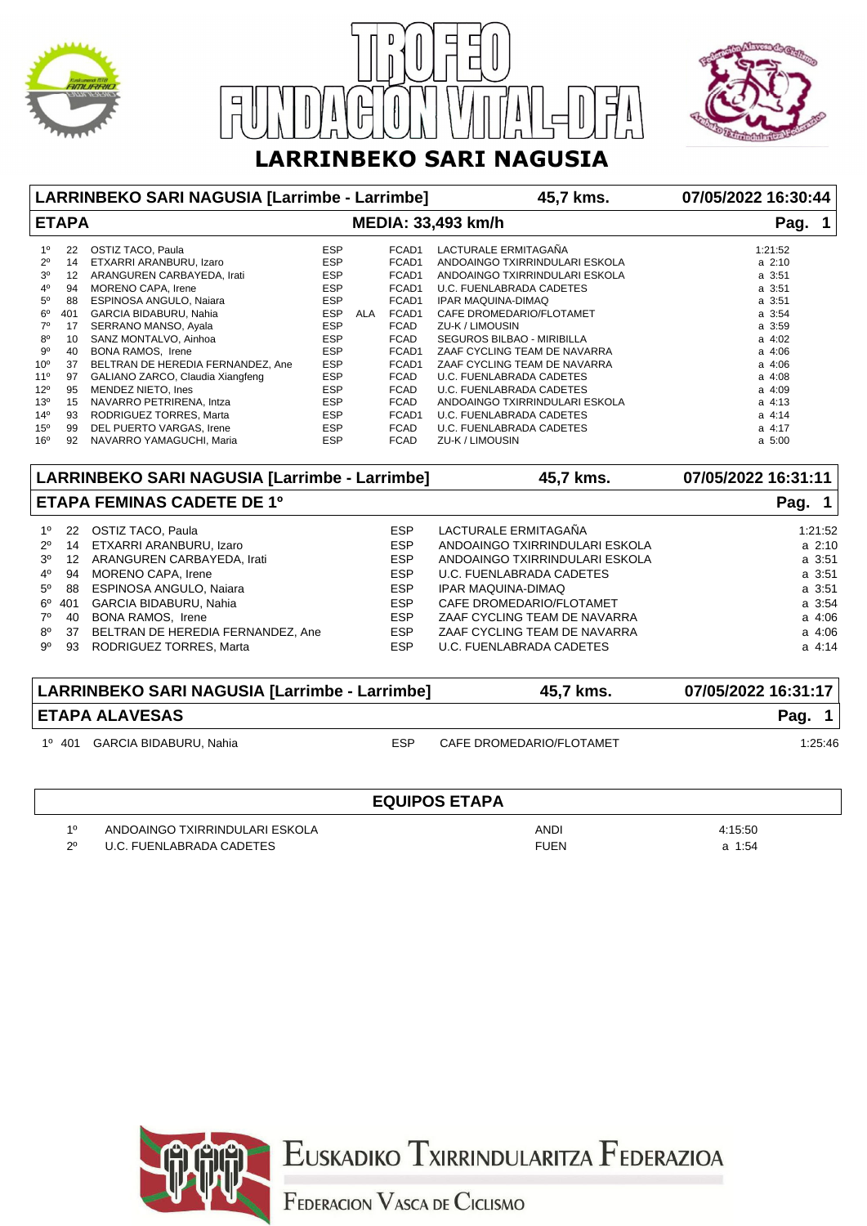





| LARRINBEKO SARI NAGUSIA [Larrimbe - Larrimbe] |                 |                                               |            |            |             | 45,7 kms.                            | 07/05/2022 16:30:44 |  |
|-----------------------------------------------|-----------------|-----------------------------------------------|------------|------------|-------------|--------------------------------------|---------------------|--|
| <b>ETAPA</b><br><b>MEDIA: 33,493 km/h</b>     |                 |                                               |            |            |             |                                      | Pag. 1              |  |
| 1 <sup>0</sup>                                | 22              | OSTIZ TACO, Paula                             | <b>ESP</b> |            | FCAD1       | LACTURALE ERMITAGAÑA                 | 1:21:52             |  |
| $2^{\circ}$                                   | 14              | ETXARRI ARANBURU, Izaro                       | <b>ESP</b> |            | FCAD1       | ANDOAINGO TXIRRINDULARI ESKOLA       | $a \, 2:10$         |  |
| 3 <sup>o</sup>                                | 12              | ARANGUREN CARBAYEDA, Irati                    | <b>ESP</b> |            | FCAD1       | ANDOAINGO TXIRRINDULARI ESKOLA       | a 3:51              |  |
| 4 <sup>0</sup>                                | 94              | MORENO CAPA, Irene                            | <b>ESP</b> |            | FCAD1       | <b>U.C. FUENLABRADA CADETES</b>      | a 3:51              |  |
| $5^{\circ}$                                   | 88              | ESPINOSA ANGULO, Naiara                       | <b>ESP</b> |            | FCAD1       | <b>IPAR MAQUINA-DIMAQ</b>            | a 3:51              |  |
| 6 <sup>o</sup>                                | 401             | GARCIA BIDABURU, Nahia                        | <b>ESP</b> | <b>ALA</b> | FCAD1       | CAFE DROMEDARIO/FLOTAMET             | a 3:54              |  |
| $7^\circ$                                     | 17              | SERRANO MANSO, Ayala                          | <b>ESP</b> |            | FCAD        | ZU-K / LIMOUSIN                      | a 3:59              |  |
| $8^{\circ}$                                   | 10              | SANZ MONTALVO, Ainhoa                         | <b>ESP</b> |            | <b>FCAD</b> | <b>SEGUROS BILBAO - MIRIBILLA</b>    | a 4:02              |  |
| $9^{\circ}$                                   | 40              | <b>BONA RAMOS, Irene</b>                      | <b>ESP</b> |            | FCAD1       | ZAAF CYCLING TEAM DE NAVARRA         | a 4:06              |  |
| 10 <sup>o</sup>                               | 37              | BELTRAN DE HEREDIA FERNANDEZ, Ane             | <b>ESP</b> |            | FCAD1       | ZAAF CYCLING TEAM DE NAVARRA         | a 4:06              |  |
| $11^{\circ}$                                  | 97              | GALIANO ZARCO, Claudia Xiangfeng              | <b>ESP</b> |            | <b>FCAD</b> | U.C. FUENLABRADA CADETES             | a 4:08              |  |
| $12^{\circ}$                                  | 95              | MENDEZ NIETO, Ines                            | <b>ESP</b> |            | <b>FCAD</b> | <b>U.C. FUENLABRADA CADETES</b>      | a 4:09              |  |
| 13 <sup>o</sup>                               | 15              | NAVARRO PETRIRENA, Intza                      | <b>ESP</b> |            | <b>FCAD</b> | ANDOAINGO TXIRRINDULARI ESKOLA       | $a$ 4:13            |  |
| 14 <sup>°</sup>                               | 93              | RODRIGUEZ TORRES, Marta                       | <b>ESP</b> |            | FCAD1       | U.C. FUENLABRADA CADETES             | $a$ 4:14            |  |
| $15^{\circ}$                                  | 99              | DEL PUERTO VARGAS, Irene                      | <b>ESP</b> |            | <b>FCAD</b> | U.C. FUENLABRADA CADETES             | a 4:17              |  |
| 16 <sup>o</sup>                               | 92              | NAVARRO YAMAGUCHI, Maria                      | <b>ESP</b> |            | <b>FCAD</b> | ZU-K / LIMOUSIN                      | $a \, 5:00$         |  |
|                                               |                 | LARRINBEKO SARI NAGUSIA [Larrimbe - Larrimbe] |            |            |             | 45,7 kms.                            | 07/05/2022 16:31:11 |  |
| <b>ETAPA FEMINAS CADETE DE 1º</b>             |                 |                                               |            |            |             |                                      | Pag. 1              |  |
| $1^{\circ}$                                   | 22              | <b>OSTIZ TACO, Paula</b>                      |            |            | <b>ESP</b>  | LACTURALE ERMITAGAÑA                 | 1.21:52             |  |
| $2^{\circ}$                                   | 14              | ETXARRI ARANBURU, Izaro                       |            |            | <b>ESP</b>  | ANDOAINGO TXIRRINDULARI ESKOLA       | a 2:10              |  |
| 3 <sup>o</sup>                                | 12 <sup>°</sup> | ARANGUREN CARBAYEDA, Irati                    |            |            | <b>ESP</b>  | ANDOAINGO TXIRRINDULARI ESKOLA       | a 3:51              |  |
| $4^{\circ}$                                   | 94              | MORENO CAPA, Irene                            |            |            | <b>ESP</b>  | <b>U.C. FUENLABRADA CADETES</b>      | a 3:51              |  |
| $5^{\circ}$                                   | 88              | ESPINOSA ANGULO, Naiara                       |            |            | <b>ESP</b>  | <b>IPAR MAQUINA-DIMAQ</b>            | a 3:51              |  |
| $6^{\circ}$                                   | 401             | <b>GARCIA BIDABURU, Nahia</b>                 |            |            | <b>ESP</b>  | CAFE DROMEDARIO/FLOTAMET             | a 3:54              |  |
| $7^\circ$                                     |                 |                                               |            |            |             | ZAAF CYCLING TEAM DE NAVARRA         |                     |  |
|                                               | 40              | <b>BONA RAMOS, Irene</b>                      |            |            | <b>ESP</b>  |                                      | a 4:06              |  |
| $8^{\circ}$                                   | 37              | BELTRAN DE HEREDIA FERNANDEZ, Ane             |            |            | <b>ESP</b>  | ZAAF CYCLING TEAM DE NAVARRA         | a 4:06              |  |
| റാ                                            | റാ              | <b>DODDICLIEZ TODDES Morto</b>                |            |            | <b>CCD</b>  | $\overline{11}$ CHENIA DDADA CADETEC | 0.111               |  |

| LARRINBEKO SARI NAGUSIA [Larrimbe - Larrimbe] |     | 45,7 kms.                | 07/05/2022 16:31:17 |  |
|-----------------------------------------------|-----|--------------------------|---------------------|--|
| <b>ETAPA ALAVESAS</b>                         |     |                          | Pag. 1              |  |
| 1º 401<br>GARCIA BIDABURU, Nahia              | ESP | CAFE DROMEDARIO/FLOTAMET | 1:25:46             |  |

|    |                                | <b>EQUIPOS ETAPA</b> |         |
|----|--------------------------------|----------------------|---------|
| 10 | ANDOAINGO TXIRRINDULARI ESKOLA | ANDI                 | 4:15:50 |
| 20 | U.C. FUENLABRADA CADETES       | <b>FUEN</b>          | a 1:54  |



Euskadiko Txirrindularitza Federazioa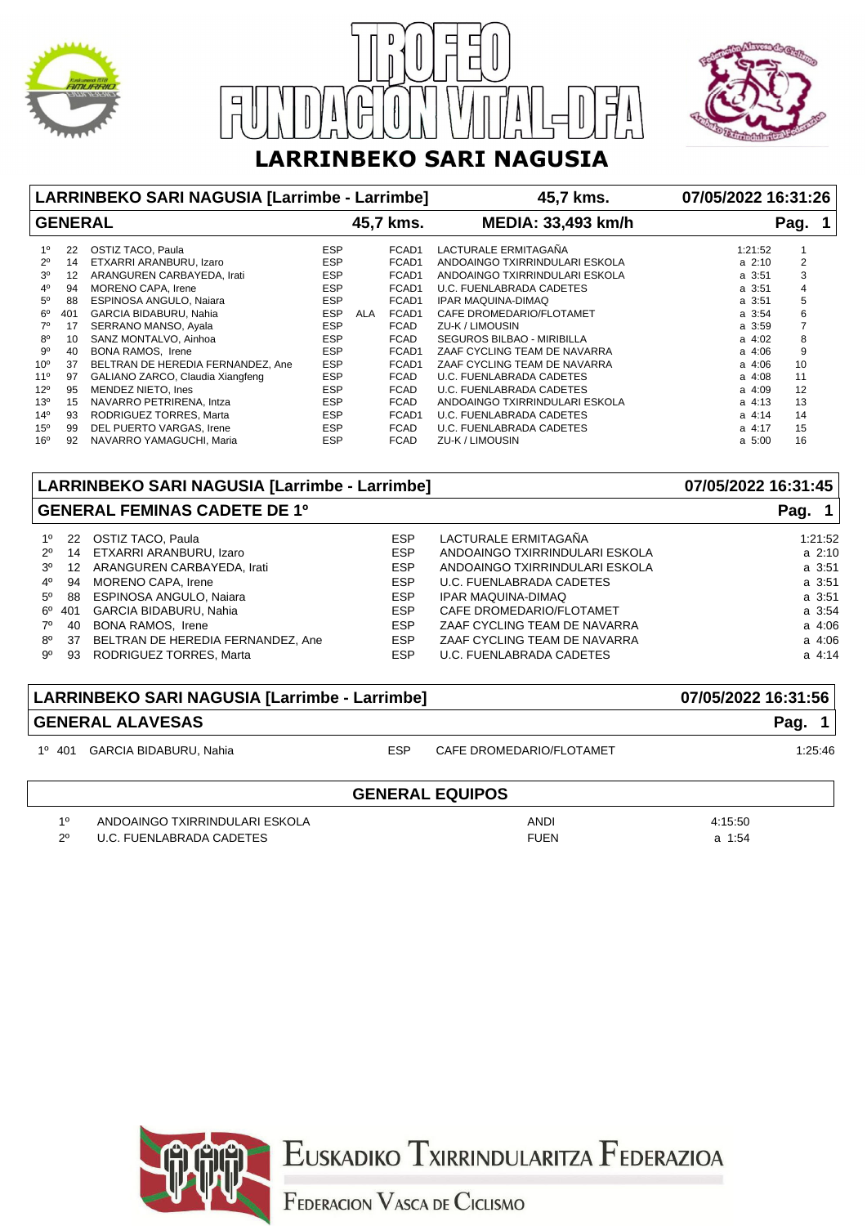





|                             |           | LARRINBEKO SARI NAGUSIA [Larrimbe - Larrimbe]  |                   |                      | 45,7 kms.                                   | 07/05/2022 16:31:26   |                     |  |
|-----------------------------|-----------|------------------------------------------------|-------------------|----------------------|---------------------------------------------|-----------------------|---------------------|--|
| <b>GENERAL</b><br>45,7 kms. |           |                                                |                   |                      | <b>MEDIA: 33,493 km/h</b>                   |                       | Pag.                |  |
| 1 <sup>0</sup>              | 22        | OSTIZ TACO, Paula                              | <b>ESP</b>        | FCAD1                | LACTURALE ERMITAGAÑA                        | 1:21:52               |                     |  |
| $2^{\circ}$                 | 14        | ETXARRI ARANBURU, Izaro                        | <b>ESP</b>        | FCAD1                | ANDOAINGO TXIRRINDULARI ESKOLA              | $a \; 2:10$           | 2                   |  |
| 3 <sup>o</sup>              | 12        | ARANGUREN CARBAYEDA, Irati                     | <b>ESP</b>        | FCAD1                | ANDOAINGO TXIRRINDULARI ESKOLA              | $a \, 3:51$           | 3                   |  |
| $4^{\circ}$                 | 94        | MORENO CAPA, Irene                             | <b>ESP</b>        | FCAD1                | U.C. FUENLABRADA CADETES                    | $a \, 3:51$           | $\overline{4}$      |  |
| $5^\circ$                   | 88        | ESPINOSA ANGULO, Naiara                        | <b>ESP</b>        | FCAD1                | <b>IPAR MAQUINA-DIMAQ</b>                   | a 3:51                | 5                   |  |
| $6^{\circ}$<br>$7^\circ$    | 401<br>17 | GARCIA BIDABURU, Nahia<br>SERRANO MANSO, Ayala | ESP<br><b>ESP</b> | FCAD1<br>ALA<br>FCAD | CAFE DROMEDARIO/FLOTAMET<br>ZU-K / LIMOUSIN | $a \; 3:54$<br>a 3:59 | 6<br>$\overline{7}$ |  |
| 80                          | 10        | SANZ MONTALVO, Ainhoa                          | <b>ESP</b>        | <b>FCAD</b>          | SEGUROS BILBAO - MIRIBILLA                  | $a \, 4:02$           | 8                   |  |
| 90                          | 40        | BONA RAMOS, Irene                              | <b>ESP</b>        | FCAD1                | ZAAF CYCLING TEAM DE NAVARRA                | $a \, 4:06$           | 9                   |  |
| $10^{\circ}$                | 37        | BELTRAN DE HEREDIA FERNANDEZ, Ane              | <b>ESP</b>        | FCAD1                | ZAAF CYCLING TEAM DE NAVARRA                | $a \, 4:06$           | 10                  |  |
| $11^{\circ}$                | 97        | GALIANO ZARCO, Claudia Xiangfeng               | <b>ESP</b>        | <b>FCAD</b>          | U.C. FUENLABRADA CADETES                    | $a \, 4:08$           | 11                  |  |
| $12^{\circ}$                | 95        | MENDEZ NIETO, Ines                             | <b>ESP</b>        | <b>FCAD</b>          | U.C. FUENLABRADA CADETES                    | $a\ 4:09$             | 12                  |  |
| $13^{o}$                    | 15        | NAVARRO PETRIRENA, Intza                       | <b>ESP</b>        | <b>FCAD</b>          | ANDOAINGO TXIRRINDULARI ESKOLA              | $a \, 4:13$           | 13                  |  |
| $14^{o}$                    | 93        | RODRIGUEZ TORRES, Marta                        | <b>ESP</b>        | FCAD1                | U.C. FUENLABRADA CADETES                    | $a \, 4:14$           | 14                  |  |
| $15^{\circ}$                | 99        | DEL PUERTO VARGAS, Irene                       | <b>ESP</b>        | <b>FCAD</b>          | U.C. FUENLABRADA CADETES                    | $a \, 4:17$           | 15                  |  |
| 16 <sup>o</sup>             | 92        | NAVARRO YAMAGUCHI, Maria                       | <b>ESP</b>        | <b>FCAD</b>          | ZU-K / LIMOUSIN                             | a 5:00                | 16                  |  |

|                |                  | LARRINBEKO SARI NAGUSIA [Larrimbe - Larrimbe] | 07/05/2022 16:31:45 |                                |             |
|----------------|------------------|-----------------------------------------------|---------------------|--------------------------------|-------------|
|                |                  | <b>GENERAL FEMINAS CADETE DE 1º</b>           | Pag.                |                                |             |
| 10             |                  | 22 OSTIZ TACO, Paula                          | <b>ESP</b>          | LACTURALE ERMITAGAÑA           | 1:21:52     |
| $2^{\circ}$    | 14               | ETXARRI ARANBURU, Izaro                       | <b>ESP</b>          | ANDOAINGO TXIRRINDULARI ESKOLA | $a \, 2:10$ |
| 3 <sup>o</sup> | 12 <sup>12</sup> | ARANGUREN CARBAYEDA, Irati                    | <b>ESP</b>          | ANDOAINGO TXIRRINDULARI ESKOLA | a 3:51      |
| $4^{\circ}$    | 94               | MORENO CAPA, Irene                            | <b>ESP</b>          | U.C. FUENLABRADA CADETES       | a 3:51      |
| $5^\circ$      |                  | 88 ESPINOSA ANGULO, Naiara                    | <b>ESP</b>          | <b>IPAR MAQUINA-DIMAQ</b>      | a 3:51      |
| 6°             | 401              | <b>GARCIA BIDABURU, Nahia</b>                 | <b>ESP</b>          | CAFE DROMEDARIO/FLOTAMET       | a 3:54      |
| $7^\circ$      | 40               | BONA RAMOS, Irene                             | <b>ESP</b>          | ZAAF CYCLING TEAM DE NAVARRA   | a 4:06      |
| $8^{\circ}$    |                  | 37 BELTRAN DE HEREDIA FERNANDEZ, Ane          | <b>ESP</b>          | ZAAF CYCLING TEAM DE NAVARRA   | a 4:06      |
| .9º            | 93               | RODRIGUEZ TORRES, Marta                       | <b>ESP</b>          | U.C. FUENLABRADA CADETES       | $a \, 4:14$ |

## **LARRINBEKO SARI NAGUSIA [Larrimbe - Larrimbe] 07/05/2022 16:31:56 GENERAL ALAVESAS Pag. 1**

1º 401 GARCIA BIDABURU, Nahia ESP CAFE DROMEDARIO/FLOTAMET 1:25:46

1º ANDI 4:15:50 ANDOAINGO TXIRRINDULARI ESKOLA

2º U.C. FUENLABRADA CADETES a 1:54

## **GENERAL EQUIPOS**



EUSKADIKO TXIRRINDULARITZA FEDERAZIOA